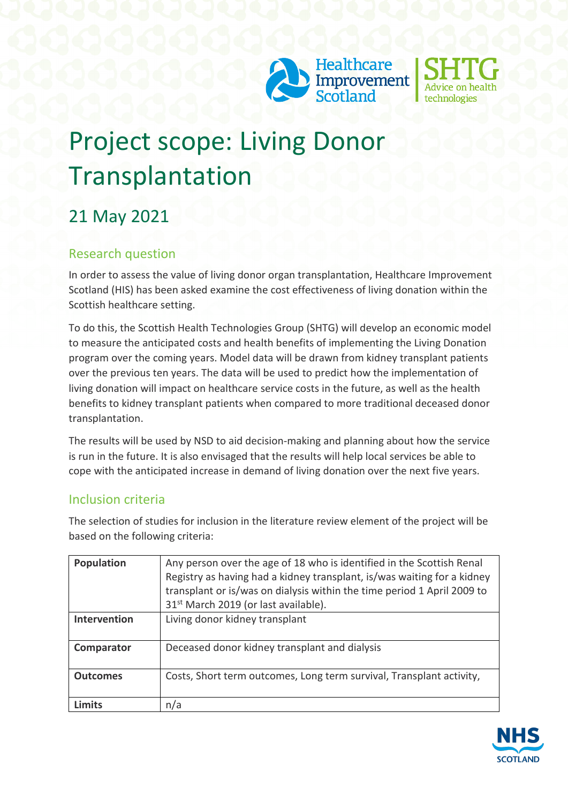



# Project scope: Living Donor Transplantation

## 21 May 2021

#### Research question

In order to assess the value of living donor organ transplantation, Healthcare Improvement Scotland (HIS) has been asked examine the cost effectiveness of living donation within the Scottish healthcare setting.

To do this, the Scottish Health Technologies Group (SHTG) will develop an economic model to measure the anticipated costs and health benefits of implementing the Living Donation program over the coming years. Model data will be drawn from kidney transplant patients over the previous ten years. The data will be used to predict how the implementation of living donation will impact on healthcare service costs in the future, as well as the health benefits to kidney transplant patients when compared to more traditional deceased donor transplantation.

The results will be used by NSD to aid decision-making and planning about how the service is run in the future. It is also envisaged that the results will help local services be able to cope with the anticipated increase in demand of living donation over the next five years.

#### Inclusion criteria

The selection of studies for inclusion in the literature review element of the project will be based on the following criteria:

| <b>Population</b> | Any person over the age of 18 who is identified in the Scottish Renal<br>Registry as having had a kidney transplant, is/was waiting for a kidney<br>transplant or is/was on dialysis within the time period 1 April 2009 to<br>31 <sup>st</sup> March 2019 (or last available). |
|-------------------|---------------------------------------------------------------------------------------------------------------------------------------------------------------------------------------------------------------------------------------------------------------------------------|
| Intervention      | Living donor kidney transplant                                                                                                                                                                                                                                                  |
| Comparator        | Deceased donor kidney transplant and dialysis                                                                                                                                                                                                                                   |
| <b>Outcomes</b>   | Costs, Short term outcomes, Long term survival, Transplant activity,                                                                                                                                                                                                            |
| <b>Limits</b>     | n/a                                                                                                                                                                                                                                                                             |